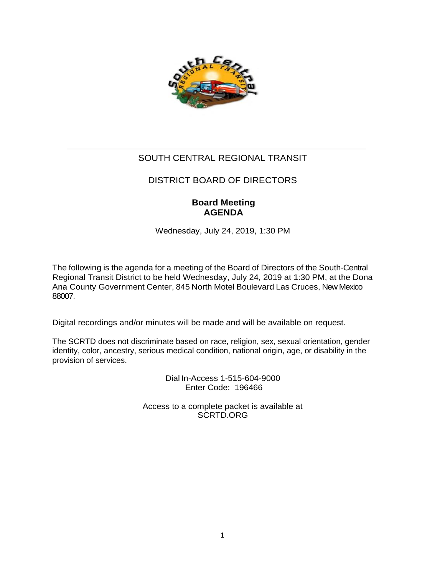

# SOUTH CENTRAL REGIONAL TRANSIT

# DISTRICT BOARD OF DIRECTORS

# **Board Meeting AGENDA**

Wednesday, July 24, 2019, 1:30 PM

The following is the agenda for a meeting of the Board of Directors of the South-Central Regional Transit District to be held Wednesday, July 24, 2019 at 1:30 PM, at the Dona Ana County Government Center, 845 North Motel Boulevard Las Cruces, New Mexico 88007.

Digital recordings and/or minutes will be made and will be available on request.

The SCRTD does not discriminate based on race, religion, sex, sexual orientation, gender identity, color, ancestry, serious medical condition, national origin, age, or disability in the provision of services.

> Dial In-Access 1-515-604-9000 Enter Code: 196466

Access to a complete packet is available at SCRTD.ORG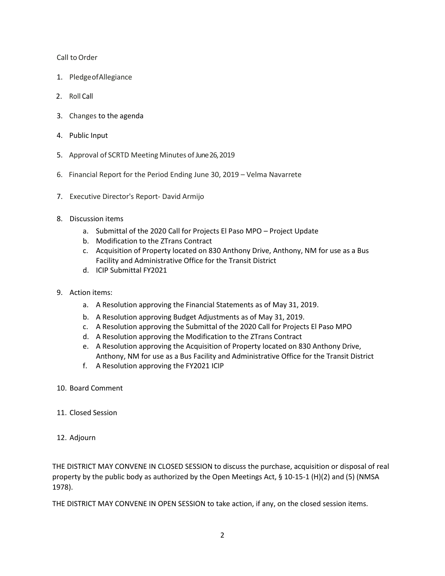Call to Order

- 1. PledgeofAllegiance
- 2. Roll Call
- 3. Changes to the agenda
- 4. Public Input
- 5. Approval of SCRTD Meeting Minutes of June 26, 2019
- 6. Financial Report for the Period Ending June 30, 2019 Velma Navarrete
- 7. Executive Director's Report- David Armijo
- 8. Discussion items
	- a. Submittal of the 2020 Call for Projects El Paso MPO Project Update
	- b. Modification to the ZTrans Contract
	- c. Acquisition of Property located on 830 Anthony Drive, Anthony, NM for use as a Bus Facility and Administrative Office for the Transit District
	- d. ICIP Submittal FY2021
- 9. Action items:
	- a. A Resolution approving the Financial Statements as of May 31, 2019.
	- b. A Resolution approving Budget Adjustments as of May 31, 2019.
	- c. A Resolution approving the Submittal of the 2020 Call for Projects El Paso MPO
	- d. A Resolution approving the Modification to the ZTrans Contract
	- e. A Resolution approving the Acquisition of Property located on 830 Anthony Drive, Anthony, NM for use as a Bus Facility and Administrative Office for the Transit District
	- f. A Resolution approving the FY2021 ICIP
- 10. Board Comment
- 11. Closed Session
- 12. Adjourn

THE DISTRICT MAY CONVENE IN CLOSED SESSION to discuss the purchase, acquisition or disposal of real property by the public body as authorized by the Open Meetings Act, § 10-15-1 (H)(2) and (5) (NMSA 1978).

THE DISTRICT MAY CONVENE IN OPEN SESSION to take action, if any, on the closed session items.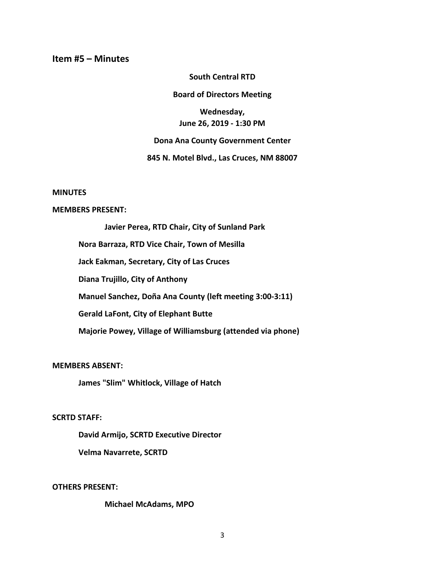# **Item #5 – Minutes**

### **South Central RTD**

## **Board of Directors Meeting**

**Wednesday, June 26, 2019 - 1:30 PM**

#### **Dona Ana County Government Center**

## **845 N. Motel Blvd., Las Cruces, NM 88007**

#### **MINUTES**

### **MEMBERS PRESENT:**

**Javier Perea, RTD Chair, City of Sunland Park Nora Barraza, RTD Vice Chair, Town of Mesilla Jack Eakman, Secretary, City of Las Cruces Diana Trujillo, City of Anthony Manuel Sanchez, Doña Ana County (left meeting 3:00-3:11) Gerald LaFont, City of Elephant Butte Majorie Powey, Village of Williamsburg (attended via phone)**

## **MEMBERS ABSENT:**

**James "Slim" Whitlock, Village of Hatch**

# **SCRTD STAFF:**

**David Armijo, SCRTD Executive Director Velma Navarrete, SCRTD** 

**OTHERS PRESENT:**

### **Michael McAdams, MPO**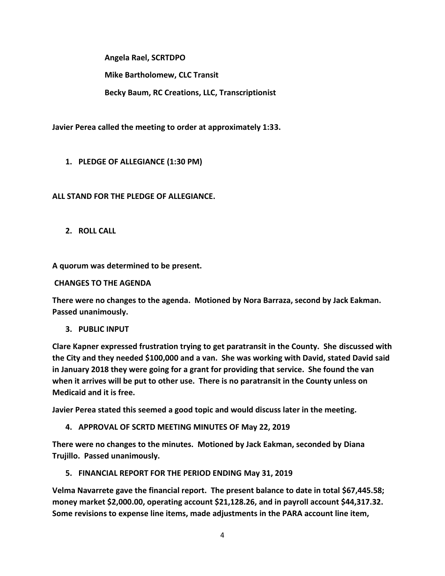**Angela Rael, SCRTDPO**

**Mike Bartholomew, CLC Transit**

**Becky Baum, RC Creations, LLC, Transcriptionist**

**Javier Perea called the meeting to order at approximately 1:33.**

**1. PLEDGE OF ALLEGIANCE (1:30 PM)**

# **ALL STAND FOR THE PLEDGE OF ALLEGIANCE.**

**2. ROLL CALL**

**A quorum was determined to be present.**

**CHANGES TO THE AGENDA**

**There were no changes to the agenda. Motioned by Nora Barraza, second by Jack Eakman. Passed unanimously.**

**3. PUBLIC INPUT**

**Clare Kapner expressed frustration trying to get paratransit in the County. She discussed with the City and they needed \$100,000 and a van. She was working with David, stated David said in January 2018 they were going for a grant for providing that service. She found the van when it arrives will be put to other use. There is no paratransit in the County unless on Medicaid and it is free.**

**Javier Perea stated this seemed a good topic and would discuss later in the meeting.**

**4. APPROVAL OF SCRTD MEETING MINUTES OF May 22, 2019**

**There were no changes to the minutes. Motioned by Jack Eakman, seconded by Diana Trujillo. Passed unanimously.**

**5. FINANCIAL REPORT FOR THE PERIOD ENDING May 31, 2019**

**Velma Navarrete gave the financial report. The present balance to date in total \$67,445.58; money market \$2,000.00, operating account \$21,128.26, and in payroll account \$44,317.32. Some revisions to expense line items, made adjustments in the PARA account line item,**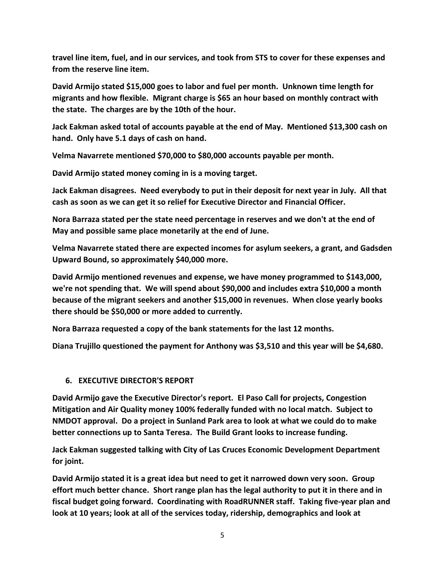**travel line item, fuel, and in our services, and took from STS to cover for these expenses and from the reserve line item.**

**David Armijo stated \$15,000 goes to labor and fuel per month. Unknown time length for migrants and how flexible. Migrant charge is \$65 an hour based on monthly contract with the state. The charges are by the 10th of the hour.**

**Jack Eakman asked total of accounts payable at the end of May. Mentioned \$13,300 cash on hand. Only have 5.1 days of cash on hand.**

**Velma Navarrete mentioned \$70,000 to \$80,000 accounts payable per month.**

**David Armijo stated money coming in is a moving target.**

**Jack Eakman disagrees. Need everybody to put in their deposit for next year in July. All that cash as soon as we can get it so relief for Executive Director and Financial Officer.** 

**Nora Barraza stated per the state need percentage in reserves and we don't at the end of May and possible same place monetarily at the end of June.**

**Velma Navarrete stated there are expected incomes for asylum seekers, a grant, and Gadsden Upward Bound, so approximately \$40,000 more.**

**David Armijo mentioned revenues and expense, we have money programmed to \$143,000, we're not spending that. We will spend about \$90,000 and includes extra \$10,000 a month because of the migrant seekers and another \$15,000 in revenues. When close yearly books there should be \$50,000 or more added to currently.**

**Nora Barraza requested a copy of the bank statements for the last 12 months.**

**Diana Trujillo questioned the payment for Anthony was \$3,510 and this year will be \$4,680.**

# **6. EXECUTIVE DIRECTOR'S REPORT**

**David Armijo gave the Executive Director's report. El Paso Call for projects, Congestion Mitigation and Air Quality money 100% federally funded with no local match. Subject to NMDOT approval. Do a project in Sunland Park area to look at what we could do to make better connections up to Santa Teresa. The Build Grant looks to increase funding.**

**Jack Eakman suggested talking with City of Las Cruces Economic Development Department for joint.**

**David Armijo stated it is a great idea but need to get it narrowed down very soon. Group effort much better chance. Short range plan has the legal authority to put it in there and in fiscal budget going forward. Coordinating with RoadRUNNER staff. Taking five-year plan and look at 10 years; look at all of the services today, ridership, demographics and look at**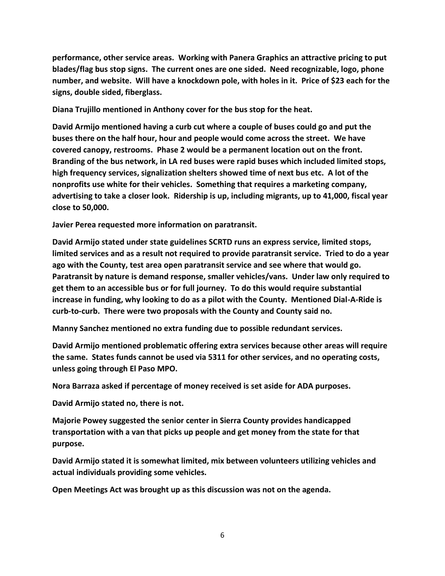**performance, other service areas. Working with Panera Graphics an attractive pricing to put blades/flag bus stop signs. The current ones are one sided. Need recognizable, logo, phone number, and website. Will have a knockdown pole, with holes in it. Price of \$23 each for the signs, double sided, fiberglass.** 

**Diana Trujillo mentioned in Anthony cover for the bus stop for the heat.**

**David Armijo mentioned having a curb cut where a couple of buses could go and put the buses there on the half hour, hour and people would come across the street. We have covered canopy, restrooms. Phase 2 would be a permanent location out on the front. Branding of the bus network, in LA red buses were rapid buses which included limited stops, high frequency services, signalization shelters showed time of next bus etc. A lot of the nonprofits use white for their vehicles. Something that requires a marketing company, advertising to take a closer look. Ridership is up, including migrants, up to 41,000, fiscal year close to 50,000.**

**Javier Perea requested more information on paratransit.**

**David Armijo stated under state guidelines SCRTD runs an express service, limited stops, limited services and as a result not required to provide paratransit service. Tried to do a year ago with the County, test area open paratransit service and see where that would go. Paratransit by nature is demand response, smaller vehicles/vans. Under law only required to get them to an accessible bus or for full journey. To do this would require substantial increase in funding, why looking to do as a pilot with the County. Mentioned Dial-A-Ride is curb-to-curb. There were two proposals with the County and County said no.**

**Manny Sanchez mentioned no extra funding due to possible redundant services.**

**David Armijo mentioned problematic offering extra services because other areas will require the same. States funds cannot be used via 5311 for other services, and no operating costs, unless going through El Paso MPO.** 

**Nora Barraza asked if percentage of money received is set aside for ADA purposes.**

**David Armijo stated no, there is not.**

**Majorie Powey suggested the senior center in Sierra County provides handicapped transportation with a van that picks up people and get money from the state for that purpose.**

**David Armijo stated it is somewhat limited, mix between volunteers utilizing vehicles and actual individuals providing some vehicles.** 

**Open Meetings Act was brought up as this discussion was not on the agenda.**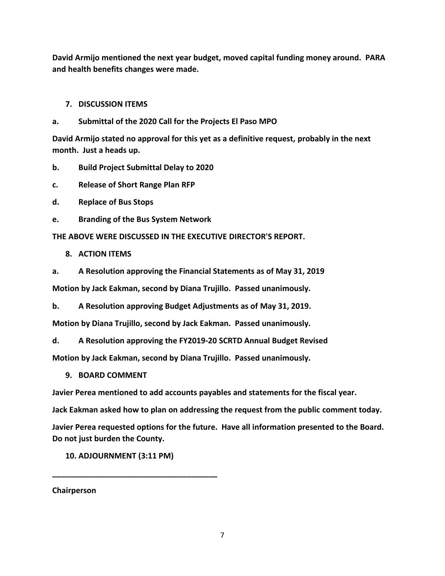**David Armijo mentioned the next year budget, moved capital funding money around. PARA and health benefits changes were made.**

# **7. DISCUSSION ITEMS**

# **a. Submittal of the 2020 Call for the Projects El Paso MPO**

**David Armijo stated no approval for this yet as a definitive request, probably in the next month. Just a heads up.**

**b. Build Project Submittal Delay to 2020** 

**c. Release of Short Range Plan RFP**

**d. Replace of Bus Stops** 

**e. Branding of the Bus System Network** 

**THE ABOVE WERE DISCUSSED IN THE EXECUTIVE DIRECTOR'S REPORT.**

- **8. ACTION ITEMS**
- **a. A Resolution approving the Financial Statements as of May 31, 2019**

**Motion by Jack Eakman, second by Diana Trujillo. Passed unanimously.**

**b. A Resolution approving Budget Adjustments as of May 31, 2019.** 

**Motion by Diana Trujillo, second by Jack Eakman. Passed unanimously.**

**d. A Resolution approving the FY2019-20 SCRTD Annual Budget Revised**

**Motion by Jack Eakman, second by Diana Trujillo. Passed unanimously.**

**9. BOARD COMMENT**

**Javier Perea mentioned to add accounts payables and statements for the fiscal year.**

**Jack Eakman asked how to plan on addressing the request from the public comment today.**

**Javier Perea requested options for the future. Have all information presented to the Board. Do not just burden the County.**

**10. ADJOURNMENT (3:11 PM)**

**\_\_\_\_\_\_\_\_\_\_\_\_\_\_\_\_\_\_\_\_\_\_\_\_\_\_\_\_\_\_\_\_\_\_\_\_\_\_**

**Chairperson**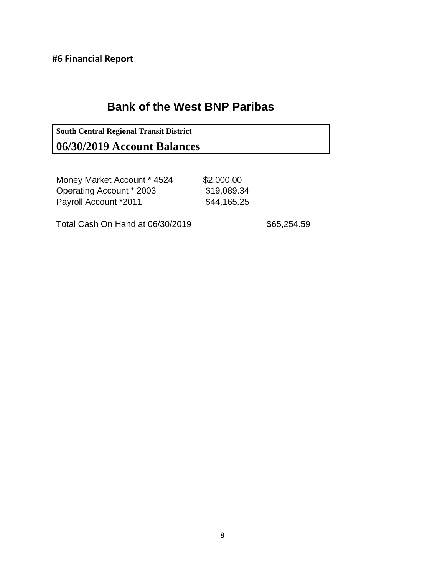**#6 Financial Report**

# **Bank of the West BNP Paribas**

**South Central Regional Transit District 06/30/2019 Account Balances**

Money Market Account \* 4524 Operating Account \* 2003 \$19,089.34 Payroll Account \*2011 \$44,165.25

\$2,000.00

Total Cash On Hand at 06/30/2019 \$65,254.59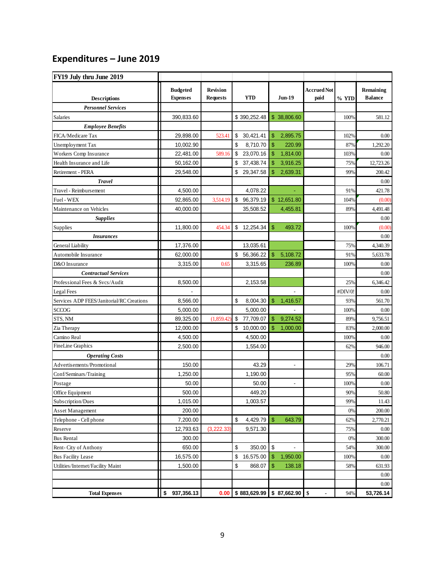# **Expenditures – June 2019**

| FY19 July thru June 2019                  |                                    |                                    |                   |                                 |                            |         |                             |
|-------------------------------------------|------------------------------------|------------------------------------|-------------------|---------------------------------|----------------------------|---------|-----------------------------|
| <b>Descriptions</b>                       | <b>Budgeted</b><br><b>Expenses</b> | <b>Revision</b><br><b>Requests</b> | <b>YTD</b>        | <b>Jun-19</b>                   | <b>Accrued Not</b><br>paid |         | Remaining<br><b>Balance</b> |
| <b>Personnel Services</b>                 |                                    |                                    |                   |                                 |                            |         |                             |
| Salaries                                  | 390,833.60                         |                                    | \$390,252.48      | \$38,806.60                     |                            | 100%    | 581.12                      |
| <b>Employee Benefits</b>                  |                                    |                                    |                   |                                 |                            |         |                             |
| FICA/Medicare Tax                         | 29,898.00                          | 523.41                             | \$<br>30,421.41   | \$<br>2,895.75                  |                            | 102%    | 0.00                        |
| Unemployment Tax                          | 10,002.90                          |                                    | \$<br>8.710.70    | $\mathbf{\$}$<br>220.99         |                            | 87%     | 1,292.20                    |
| Workers Comp Insurance                    | 22,481.00                          | 589.16                             | \$<br>23,070.16   | \$<br>1,814.00                  |                            | 103%    | 0.00                        |
| Health Insurance and Life                 | 50,162.00                          |                                    | \$<br>37,438.74   | \$<br>3,916.25                  |                            | 75%     | 12,723.26                   |
| Retirement - PERA                         | 29,548.00                          |                                    | \$<br>29,347.58   | 2,639.31<br>\$                  |                            | 99%     | 200.42                      |
| <b>Travel</b>                             |                                    |                                    |                   |                                 |                            |         | 0.00                        |
| Travel - Reimbursement                    | 4,500.00                           |                                    | 4,078.22          |                                 |                            | 91%     | 421.78                      |
| Fuel - WEX                                | 92,865.00                          | 3,514.19                           | \$<br>96,379.19   | \$12,651.80                     |                            | 104%    | (0.00)                      |
| Maintenance on Vehicles                   | 40,000.00                          |                                    | 35,508.52         | 4,455.81                        |                            | 89%     | 4,491.48                    |
| <b>Supplies</b>                           |                                    |                                    |                   |                                 |                            |         | 0.00                        |
| Supplies                                  | 11,800.00                          | 454.34                             | \$<br>12,254.34   | $\mathsf{\$}$<br>493.72         |                            | 100%    | (0.00)                      |
| <i>Insurances</i>                         |                                    |                                    |                   |                                 |                            |         | 0.00                        |
| General Liability                         | 17,376.00                          |                                    | 13,035.61         |                                 |                            | 75%     | 4,340.39                    |
| Automobile Insurance                      | 62,000.00                          |                                    | \$<br>56,366.22   | \$<br>5,108.72                  |                            | 91%     | 5,633.78                    |
| D&O Insurance                             | 3,315.00                           | 0.65                               | 3,315.65          | 236.89                          |                            | 100%    | 0.00                        |
| <b>Contractual Services</b>               |                                    |                                    |                   |                                 |                            |         | 0.00                        |
| Professional Fees & Svcs/Audit            | 8,500.00                           |                                    | 2,153.58          |                                 |                            | 25%     | 6,346.42                    |
| Legal Fees                                |                                    |                                    |                   |                                 |                            | #DIV/0! | 0.00                        |
| Services ADP FEES/Janitorial/RC Creations | 8,566.00                           |                                    | \$<br>8,004.30    | \$<br>1,416.57                  |                            | 93%     | 561.70                      |
| <b>SCCOG</b>                              | 5,000.00                           |                                    | 5,000.00          |                                 |                            | 100%    | 0.00                        |
| STS, NM                                   | 89,325.00                          | (1,859.42)                         | \$<br>77,709.07   | \$<br>9,274.52                  |                            | 89%     | 9,756.51                    |
| Zia Therapy                               | 12,000.00                          |                                    | \$<br>10,000.00   | $\mathbf{\$}$<br>1,000.00       |                            | 83%     | 2,000.00                    |
| Camino Real                               | 4,500.00                           |                                    | 4,500.00          |                                 |                            | 100%    | 0.00                        |
| <b>FineLine Graphics</b>                  | 2,500.00                           |                                    | 1,554.00          |                                 |                            | 62%     | 946.00                      |
| <b>Operating Costs</b>                    |                                    |                                    |                   |                                 |                            |         | 0.00                        |
| Advertisements/Promotional                | 150.00                             |                                    | 43.29             | $\blacksquare$                  |                            | 29%     | 106.71                      |
| Conf/Seminars/Training                    | 1,250.00                           |                                    | 1,190.00          |                                 |                            | 95%     | 60.00                       |
| Postage                                   | 50.00                              |                                    | 50.00             |                                 |                            | 100%    | 0.00                        |
| Office Equipment                          | 500.00                             |                                    | 449.20            |                                 |                            | 90%     | 50.80                       |
| Subscription/Dues                         | 1,015.00                           |                                    | 1,003.57          |                                 |                            | 99%     | 11.43                       |
| <b>Asset Management</b>                   | 200.00                             |                                    |                   |                                 |                            | 0%      | 200.00                      |
| Telephone - Cell phone                    | 7,200.00                           |                                    | \$<br>4,429.79 \$ | 643.79                          |                            | 62%     | 2,770.21                    |
| Reserve                                   | 12,793.63                          | (3, 222.33)                        | 9,571.30          |                                 |                            | 75%     | 0.00                        |
| <b>Bus Rental</b>                         | 300.00                             |                                    |                   |                                 |                            | 0%      | 300.00                      |
| Rent-City of Anthony                      | 650.00                             |                                    | \$<br>350.00      | \$                              |                            | 54%     | 300.00                      |
| <b>Bus Facility Lease</b>                 | 16,575.00                          |                                    | \$<br>16,575.00   | \$<br>1,950.00<br>$\mathsf{\$}$ |                            | 100%    | 0.00                        |
| Utilities/Internet/Facility Maint         | 1,500.00                           |                                    | \$<br>868.07      | 138.18                          |                            | 58%     | 631.93                      |
|                                           |                                    |                                    |                   |                                 |                            |         | 0.00                        |
|                                           |                                    |                                    |                   |                                 |                            |         | 0.00                        |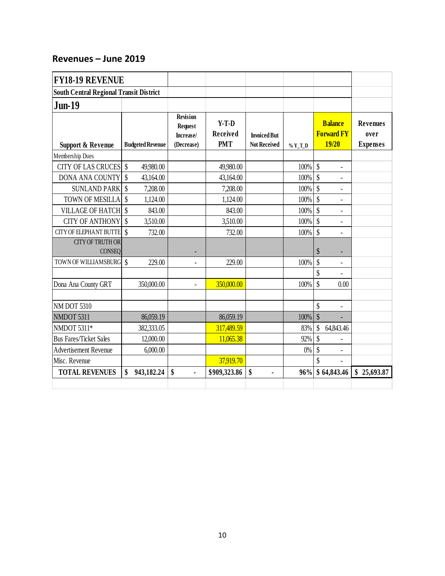# **Revenues – June 2019**

| <b>FY18-19 REVENUE</b>                         |                           |                         |                                                       |                                          |                                            |          |                                 |                                              |                                            |
|------------------------------------------------|---------------------------|-------------------------|-------------------------------------------------------|------------------------------------------|--------------------------------------------|----------|---------------------------------|----------------------------------------------|--------------------------------------------|
| <b>South Central Regional Transit District</b> |                           |                         |                                                       |                                          |                                            |          |                                 |                                              |                                            |
| <b>Jun-19</b>                                  |                           |                         |                                                       |                                          |                                            |          |                                 |                                              |                                            |
| <b>Support &amp; Revenue</b>                   |                           | <b>Budgeted Revenue</b> | Revision<br><b>Request</b><br>Increase/<br>(Decrease) | $Y-T-D$<br><b>Received</b><br><b>PMT</b> | <b>Invoiced But</b><br><b>Not Received</b> | $%Y_T_D$ |                                 | <b>Balance</b><br><b>Forward FY</b><br>19/20 | <b>Revenues</b><br>over<br><b>Expenses</b> |
| Membership Dues                                |                           |                         |                                                       |                                          |                                            |          |                                 |                                              |                                            |
| <b>CITY OF LAS CRUCES</b>                      | $\mathcal{S}$             | 49,980.00               |                                                       | 49,980.00                                |                                            | 100%     | $\boldsymbol{\hat{\mathsf{S}}}$ | $\overline{a}$                               |                                            |
| <b>DONA ANA COUNTY</b>                         | $\mathcal{S}$             | 43,164.00               |                                                       | 43,164.00                                |                                            | 100%     | $\boldsymbol{\mathsf{S}}$       |                                              |                                            |
| <b>SUNLAND PARK</b>                            | $\boldsymbol{\S}$         | 7,208.00                |                                                       | 7,208.00                                 |                                            | 100%     | $\boldsymbol{\hat{\mathsf{S}}}$ |                                              |                                            |
| TOWN OF MESILLA                                | $\boldsymbol{\mathsf{S}}$ | 1,124.00                |                                                       | 1,124.00                                 |                                            | 100%     | \$                              | $\overline{a}$                               |                                            |
| VILLAGE OF HATCH \$                            |                           | 843.00                  |                                                       | 843.00                                   |                                            | 100%     | $\mathsf{\$}$                   |                                              |                                            |
| <b>CITY OF ANTHONY</b>                         | $\mathcal{S}$             | 3,510.00                |                                                       | 3,510.00                                 |                                            | 100%     | $\mathcal{S}$                   |                                              |                                            |
| <b>CITY OF ELEPHANT BUTTE</b>                  | $\mathcal{S}$             | 732.00                  |                                                       | 732.00                                   |                                            | 100%     | \$                              | $\blacksquare$                               |                                            |
| <b>CITY OF TRUTH OR</b><br><b>CONSEQ</b>       |                           |                         |                                                       |                                          |                                            |          | \$                              |                                              |                                            |
| TOWN OF WILLIAMSBURG \$                        |                           | 229.00                  |                                                       | 229.00                                   |                                            | 100%     | \$                              | $\blacksquare$                               |                                            |
|                                                |                           |                         |                                                       |                                          |                                            |          | \$                              |                                              |                                            |
| Dona Ana County GRT                            |                           | 350,000.00              | $\overline{a}$                                        | 350,000.00                               |                                            | 100%     | $\mathsf{\$}$                   | 0.00                                         |                                            |
| <b>NM DOT 5310</b>                             |                           |                         |                                                       |                                          |                                            |          | \$                              | $\overline{a}$                               |                                            |
| NMDOT 5311                                     |                           | 86,059.19               |                                                       | 86,059.19                                |                                            | 100%     | $\boldsymbol{\mathsf{S}}$       |                                              |                                            |
| NMDOT 5311*                                    |                           | 382,333.05              |                                                       | 317,489.59                               |                                            | 83%      | \$                              | 64,843.46                                    |                                            |
| <b>Bus Fares/Ticket Sales</b>                  |                           | 12,000.00               |                                                       | 11,065.38                                |                                            | 92%      | $\mathcal{S}$                   |                                              |                                            |
| <b>Advertisement Revenue</b>                   |                           | 6,000.00                |                                                       |                                          |                                            | $0\%$    | \$                              | $\blacksquare$                               |                                            |
| Misc. Revenue                                  |                           |                         |                                                       | 37,919.70                                |                                            |          | \$                              |                                              |                                            |
| <b>TOTAL REVENUES</b>                          | \$                        | 943,182.24              | \$<br>ä,                                              | \$909,323.86                             | \$<br>ä,                                   | 96%      |                                 | \$64,843.46                                  | \$25,693.87                                |
|                                                |                           |                         |                                                       |                                          |                                            |          |                                 |                                              |                                            |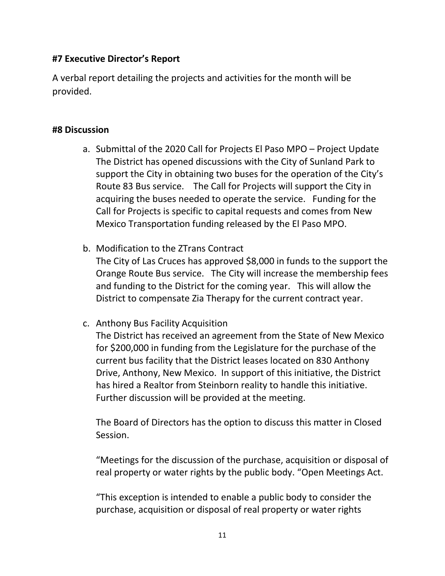# **#7 Executive Director's Report**

A verbal report detailing the projects and activities for the month will be provided.

# **#8 Discussion**

- a. Submittal of the 2020 Call for Projects El Paso MPO Project Update The District has opened discussions with the City of Sunland Park to support the City in obtaining two buses for the operation of the City's Route 83 Bus service. The Call for Projects will support the City in acquiring the buses needed to operate the service. Funding for the Call for Projects is specific to capital requests and comes from New Mexico Transportation funding released by the El Paso MPO.
- b. Modification to the ZTrans Contract The City of Las Cruces has approved \$8,000 in funds to the support the Orange Route Bus service. The City will increase the membership fees and funding to the District for the coming year. This will allow the District to compensate Zia Therapy for the current contract year.
- c. Anthony Bus Facility Acquisition

The District has received an agreement from the State of New Mexico for \$200,000 in funding from the Legislature for the purchase of the current bus facility that the District leases located on 830 Anthony Drive, Anthony, New Mexico. In support of this initiative, the District has hired a Realtor from Steinborn reality to handle this initiative. Further discussion will be provided at the meeting.

The Board of Directors has the option to discuss this matter in Closed Session.

"Meetings for the discussion of the purchase, acquisition or disposal of real property or water rights by the public body. "Open Meetings Act.

"This exception is intended to enable a public body to consider the purchase, acquisition or disposal of real property or water rights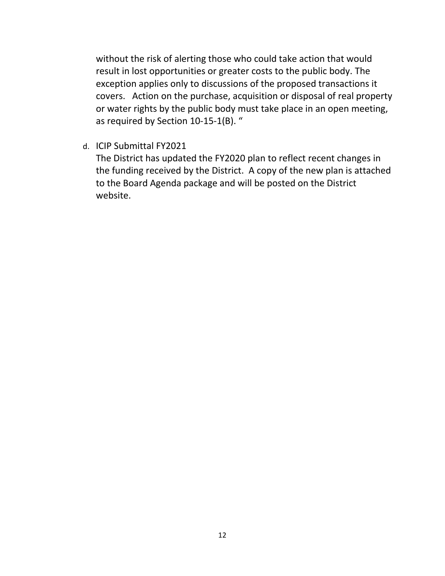without the risk of alerting those who could take action that would result in lost opportunities or greater costs to the public body. The exception applies only to discussions of the proposed transactions it covers. Action on the purchase, acquisition or disposal of real property or water rights by the public body must take place in an open meeting, as required by Section 10-15-1(B). "

d. ICIP Submittal FY2021

The District has updated the FY2020 plan to reflect recent changes in the funding received by the District. A copy of the new plan is attached to the Board Agenda package and will be posted on the District website.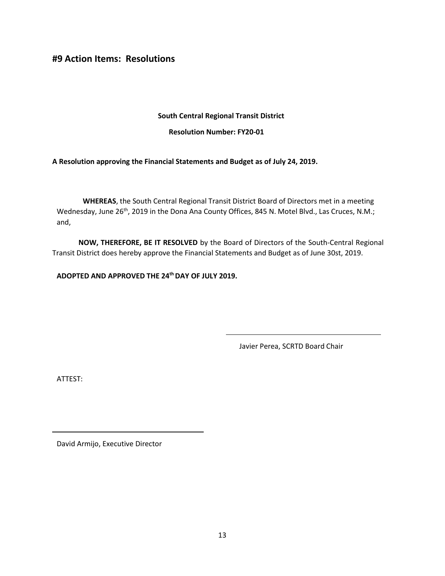**#9 Action Items: Resolutions**

# **South Central Regional Transit District**

**Resolution Number: FY20-01**

**A Resolution approving the Financial Statements and Budget as of July 24, 2019.** 

**WHEREAS**, the South Central Regional Transit District Board of Directors met in a meeting Wednesday, June 26<sup>th</sup>, 2019 in the Dona Ana County Offices, 845 N. Motel Blvd., Las Cruces, N.M.; and,

**NOW, THEREFORE, BE IT RESOLVED** by the Board of Directors of the South-Central Regional Transit District does hereby approve the Financial Statements and Budget as of June 30st, 2019.

**ADOPTED AND APPROVED THE 24 thDAY OF JULY 2019.**

Javier Perea, SCRTD Board Chair

ATTEST: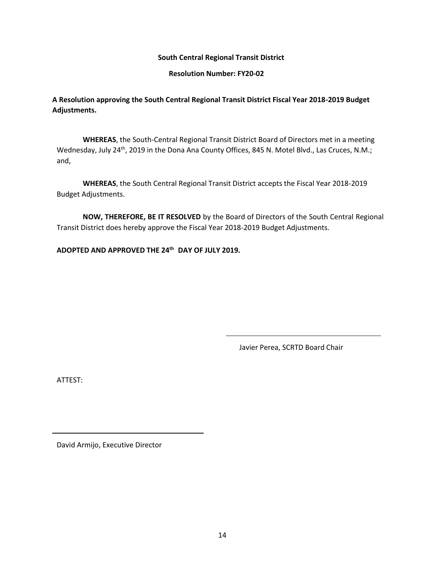**Resolution Number: FY20-02**

**A Resolution approving the South Central Regional Transit District Fiscal Year 2018-2019 Budget Adjustments.**

**WHEREAS**, the South-Central Regional Transit District Board of Directors met in a meeting Wednesday, July 24<sup>th</sup>, 2019 in the Dona Ana County Offices, 845 N. Motel Blvd., Las Cruces, N.M.; and,

**WHEREAS**, the South Central Regional Transit District accepts the Fiscal Year 2018-2019 Budget Adjustments.

**NOW, THEREFORE, BE IT RESOLVED** by the Board of Directors of the South Central Regional Transit District does hereby approve the Fiscal Year 2018-2019 Budget Adjustments.

**ADOPTED AND APPROVED THE 24 th DAY OF JULY 2019.**

Javier Perea, SCRTD Board Chair

ATTEST: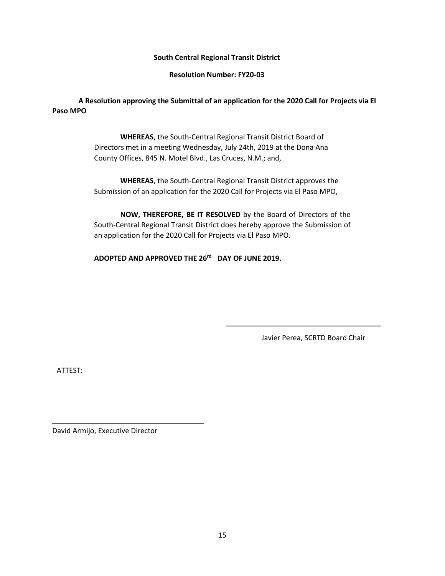**Resolution Number: FY20-03**

**A Resolution approving the Submittal of an application for the 2020 Call for Projects via El Paso MPO**

> **WHEREAS**, the South-Central Regional Transit District Board of Directors met in a meeting Wednesday, July 24th, 2019 at the Dona Ana County Offices, 845 N. Motel Blvd., Las Cruces, N.M.; and,

**WHEREAS**, the South-Central Regional Transit District approves the Submission of an application for the 2020 Call for Projects via El Paso MPO,

**NOW, THEREFORE, BE IT RESOLVED** by the Board of Directors of the South-Central Regional Transit District does hereby approve the Submission of an application for the 2020 Call for Projects via El Paso MPO.

**ADOPTED AND APPROVED THE 26 rd DAY OF JUNE 2019.**

Javier Perea, SCRTD Board Chair

ATTEST: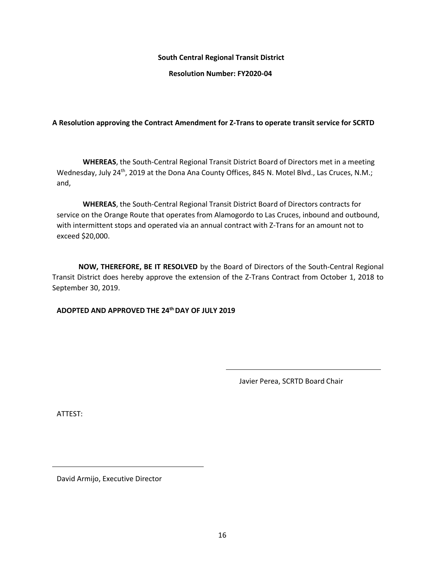**Resolution Number: FY2020-04**

# **A Resolution approving the Contract Amendment for Z-Trans to operate transit service for SCRTD**

**WHEREAS**, the South-Central Regional Transit District Board of Directors met in a meeting Wednesday, July 24<sup>th</sup>, 2019 at the Dona Ana County Offices, 845 N. Motel Blvd., Las Cruces, N.M.; and,

**WHEREAS**, the South-Central Regional Transit District Board of Directors contracts for service on the Orange Route that operates from Alamogordo to Las Cruces, inbound and outbound, with intermittent stops and operated via an annual contract with Z-Trans for an amount not to exceed \$20,000.

**NOW, THEREFORE, BE IT RESOLVED** by the Board of Directors of the South-Central Regional Transit District does hereby approve the extension of the Z-Trans Contract from October 1, 2018 to September 30, 2019.

# **ADOPTED AND APPROVED THE 24thDAY OF JULY 2019**

Javier Perea, SCRTD Board Chair

ATTEST: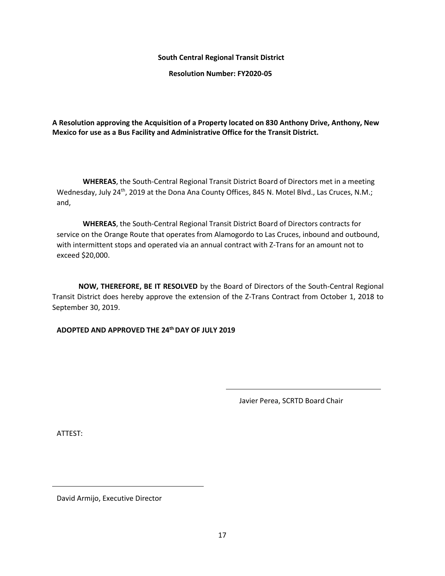**Resolution Number: FY2020-05**

**A Resolution approving the Acquisition of a Property located on 830 Anthony Drive, Anthony, New Mexico for use as a Bus Facility and Administrative Office for the Transit District.**

**WHEREAS**, the South-Central Regional Transit District Board of Directors met in a meeting Wednesday, July 24<sup>th</sup>, 2019 at the Dona Ana County Offices, 845 N. Motel Blvd., Las Cruces, N.M.; and,

**WHEREAS**, the South-Central Regional Transit District Board of Directors contracts for service on the Orange Route that operates from Alamogordo to Las Cruces, inbound and outbound, with intermittent stops and operated via an annual contract with Z-Trans for an amount not to exceed \$20,000.

**NOW, THEREFORE, BE IT RESOLVED** by the Board of Directors of the South-Central Regional Transit District does hereby approve the extension of the Z-Trans Contract from October 1, 2018 to September 30, 2019.

**ADOPTED AND APPROVED THE 24thDAY OF JULY 2019**

Javier Perea, SCRTD Board Chair

ATTEST: